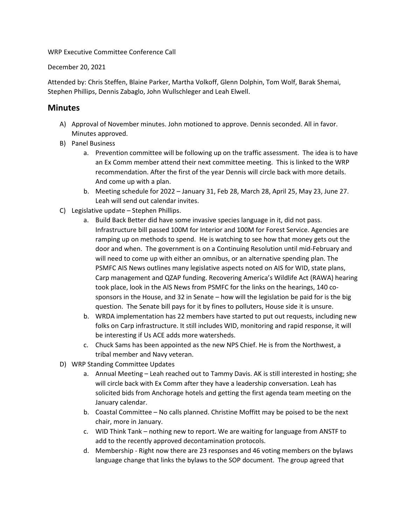WRP Executive Committee Conference Call

December 20, 2021

Attended by: Chris Steffen, Blaine Parker, Martha Volkoff, Glenn Dolphin, Tom Wolf, Barak Shemai, Stephen Phillips, Dennis Zabaglo, John Wullschleger and Leah Elwell.

## **Minutes**

- A) Approval of November minutes. John motioned to approve. Dennis seconded. All in favor. Minutes approved.
- B) Panel Business
	- a. Prevention committee will be following up on the traffic assessment. The idea is to have an Ex Comm member attend their next committee meeting. This is linked to the WRP recommendation. After the first of the year Dennis will circle back with more details. And come up with a plan.
	- b. Meeting schedule for 2022 January 31, Feb 28, March 28, April 25, May 23, June 27. Leah will send out calendar invites.
- C) Legislative update Stephen Phillips.
	- a. Build Back Better did have some invasive species language in it, did not pass. Infrastructure bill passed 100M for Interior and 100M for Forest Service. Agencies are ramping up on methods to spend. He is watching to see how that money gets out the door and when. The government is on a Continuing Resolution until mid-February and will need to come up with either an omnibus, or an alternative spending plan. The PSMFC AIS News outlines many legislative aspects noted on AIS for WID, state plans, Carp management and QZAP funding. Recovering America's Wildlife Act (RAWA) hearing took place, look in the AIS News from PSMFC for the links on the hearings, 140 cosponsors in the House, and 32 in Senate – how will the legislation be paid for is the big question. The Senate bill pays for it by fines to polluters, House side it is unsure.
	- b. WRDA implementation has 22 members have started to put out requests, including new folks on Carp infrastructure. It still includes WID, monitoring and rapid response, it will be interesting if Us ACE adds more watersheds.
	- c. Chuck Sams has been appointed as the new NPS Chief. He is from the Northwest, a tribal member and Navy veteran.
- D) WRP Standing Committee Updates
	- a. Annual Meeting Leah reached out to Tammy Davis. AK is still interested in hosting; she will circle back with Ex Comm after they have a leadership conversation. Leah has solicited bids from Anchorage hotels and getting the first agenda team meeting on the January calendar.
	- b. Coastal Committee No calls planned. Christine Moffitt may be poised to be the next chair, more in January.
	- c. WID Think Tank nothing new to report. We are waiting for language from ANSTF to add to the recently approved decontamination protocols.
	- d. Membership Right now there are 23 responses and 46 voting members on the bylaws language change that links the bylaws to the SOP document. The group agreed that